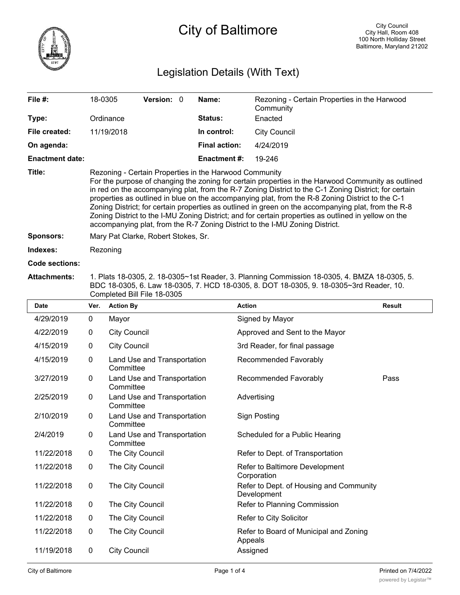

# Legislation Details (With Text)

| File #:                | 18-0305                                                                                                                                                                                                                                                                                                                                                                                                                                                                                                                                                                                                                                                                  | <b>Version:</b> 0 |  | Name:                | Rezoning - Certain Properties in the Harwood<br>Community |
|------------------------|--------------------------------------------------------------------------------------------------------------------------------------------------------------------------------------------------------------------------------------------------------------------------------------------------------------------------------------------------------------------------------------------------------------------------------------------------------------------------------------------------------------------------------------------------------------------------------------------------------------------------------------------------------------------------|-------------------|--|----------------------|-----------------------------------------------------------|
| Type:                  | Ordinance                                                                                                                                                                                                                                                                                                                                                                                                                                                                                                                                                                                                                                                                |                   |  | <b>Status:</b>       | Enacted                                                   |
| File created:          | 11/19/2018                                                                                                                                                                                                                                                                                                                                                                                                                                                                                                                                                                                                                                                               |                   |  | In control:          | <b>City Council</b>                                       |
| On agenda:             |                                                                                                                                                                                                                                                                                                                                                                                                                                                                                                                                                                                                                                                                          |                   |  | <b>Final action:</b> | 4/24/2019                                                 |
| <b>Enactment date:</b> |                                                                                                                                                                                                                                                                                                                                                                                                                                                                                                                                                                                                                                                                          |                   |  | <b>Enactment #:</b>  | 19-246                                                    |
| Title:                 | Rezoning - Certain Properties in the Harwood Community<br>For the purpose of changing the zoning for certain properties in the Harwood Community as outlined<br>in red on the accompanying plat, from the R-7 Zoning District to the C-1 Zoning District; for certain<br>properties as outlined in blue on the accompanying plat, from the R-8 Zoning District to the C-1<br>Zoning District; for certain properties as outlined in green on the accompanying plat, from the R-8<br>Zoning District to the I-MU Zoning District; and for certain properties as outlined in yellow on the<br>accompanying plat, from the R-7 Zoning District to the I-MU Zoning District. |                   |  |                      |                                                           |
| <b>Sponsors:</b>       | Mary Pat Clarke, Robert Stokes, Sr.                                                                                                                                                                                                                                                                                                                                                                                                                                                                                                                                                                                                                                      |                   |  |                      |                                                           |
| Indexes:               | Rezoning                                                                                                                                                                                                                                                                                                                                                                                                                                                                                                                                                                                                                                                                 |                   |  |                      |                                                           |
| Code sections:         |                                                                                                                                                                                                                                                                                                                                                                                                                                                                                                                                                                                                                                                                          |                   |  |                      |                                                           |

### **Attachments:** 1. Plats 18-0305, 2. 18-0305~1st Reader, 3. Planning Commission 18-0305, 4. BMZA 18-0305, 5. BDC 18-0305, 6. Law 18-0305, 7. HCD 18-0305, 8. DOT 18-0305, 9. 18-0305~3rd Reader, 10. Completed Bill File 18-0305

| <b>Date</b> | Ver.         | <b>Action By</b>                         | <b>Action</b>                                          | <b>Result</b> |
|-------------|--------------|------------------------------------------|--------------------------------------------------------|---------------|
| 4/29/2019   | $\mathbf 0$  | Mayor                                    | Signed by Mayor                                        |               |
| 4/22/2019   | $\mathbf 0$  | <b>City Council</b>                      | Approved and Sent to the Mayor                         |               |
| 4/15/2019   | $\mathbf 0$  | <b>City Council</b>                      | 3rd Reader, for final passage                          |               |
| 4/15/2019   | 0            | Land Use and Transportation<br>Committee | Recommended Favorably                                  |               |
| 3/27/2019   | 0            | Land Use and Transportation<br>Committee | Recommended Favorably                                  | Pass          |
| 2/25/2019   | 0            | Land Use and Transportation<br>Committee | Advertising                                            |               |
| 2/10/2019   | $\mathbf 0$  | Land Use and Transportation<br>Committee | <b>Sign Posting</b>                                    |               |
| 2/4/2019    | 0            | Land Use and Transportation<br>Committee | Scheduled for a Public Hearing                         |               |
| 11/22/2018  | 0            | The City Council                         | Refer to Dept. of Transportation                       |               |
| 11/22/2018  | $\mathbf{0}$ | The City Council                         | Refer to Baltimore Development<br>Corporation          |               |
| 11/22/2018  | $\mathbf 0$  | The City Council                         | Refer to Dept. of Housing and Community<br>Development |               |
| 11/22/2018  | $\mathbf 0$  | The City Council                         | Refer to Planning Commission                           |               |
| 11/22/2018  | 0            | The City Council                         | Refer to City Solicitor                                |               |
| 11/22/2018  | $\mathbf 0$  | The City Council                         | Refer to Board of Municipal and Zoning<br>Appeals      |               |
| 11/19/2018  | 0            | <b>City Council</b>                      | Assigned                                               |               |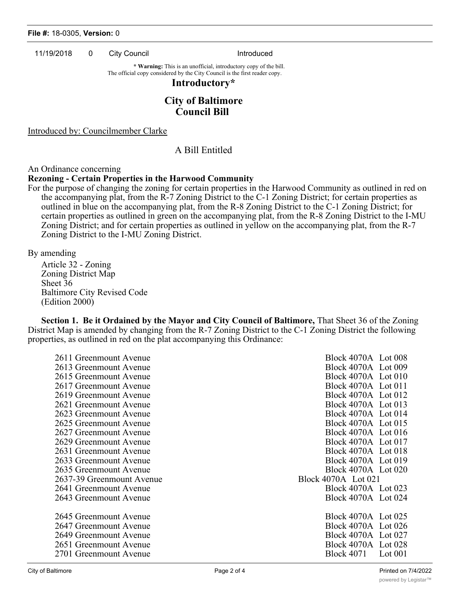#### **File #:** 18-0305, **Version:** 0

11/19/2018 0 City Council 11/19/2018 0 City Council

**\* Warning:** This is an unofficial, introductory copy of the bill. The official copy considered by the City Council is the first reader copy.

### **Introductory\***

# **City of Baltimore Council Bill**

Introduced by: Councilmember Clarke

## A Bill Entitled

### An Ordinance concerning

### **Rezoning - Certain Properties in the Harwood Community**

For the purpose of changing the zoning for certain properties in the Harwood Community as outlined in red on the accompanying plat, from the R-7 Zoning District to the C-1 Zoning District; for certain properties as outlined in blue on the accompanying plat, from the R-8 Zoning District to the C-1 Zoning District; for certain properties as outlined in green on the accompanying plat, from the R-8 Zoning District to the I-MU Zoning District; and for certain properties as outlined in yellow on the accompanying plat, from the R-7 Zoning District to the I-MU Zoning District.

By amending

Article 32 - Zoning Zoning District Map Sheet 36 Baltimore City Revised Code (Edition 2000)

**Section 1. Be it Ordained by the Mayor and City Council of Baltimore,** That Sheet 36 of the Zoning District Map is amended by changing from the R-7 Zoning District to the C-1 Zoning District the following properties, as outlined in red on the plat accompanying this Ordinance:

| 2611 Greenmount Avenue    | Block 4070A Lot 008            |
|---------------------------|--------------------------------|
| 2613 Greenmount Avenue    | Block 4070A Lot 009            |
| 2615 Greenmount Avenue    | Block 4070A Lot 010            |
| 2617 Greenmount Avenue    | Block 4070A Lot 011            |
| 2619 Greenmount Avenue    | Block 4070A Lot 012            |
| 2621 Greenmount Avenue    | Block 4070A Lot 013            |
| 2623 Greenmount Avenue    | Block 4070A Lot 014            |
| 2625 Greenmount Avenue    | Block 4070A Lot 015            |
| 2627 Greenmount Avenue    | Block 4070A Lot 016            |
| 2629 Greenmount Avenue    | Block 4070A Lot 017            |
| 2631 Greenmount Avenue    | Block 4070A Lot 018            |
| 2633 Greenmount Avenue    | Block 4070A Lot 019            |
| 2635 Greenmount Avenue    | Block 4070A Lot 020            |
| 2637-39 Greenmount Avenue | Block 4070A Lot 021            |
| 2641 Greenmount Avenue    | Block 4070A Lot 023            |
| 2643 Greenmount Avenue    | Block 4070A Lot 024            |
|                           |                                |
| 2645 Greenmount Avenue    | Block 4070A Lot 025            |
| 2647 Greenmount Avenue    | Block 4070A Lot 026            |
| 2649 Greenmount Avenue    | Block 4070A Lot 027            |
| 2651 Greenmount Avenue    | Block 4070A Lot 028            |
| 2701 Greenmount Avenue    | <b>Block 4071</b><br>Lot $001$ |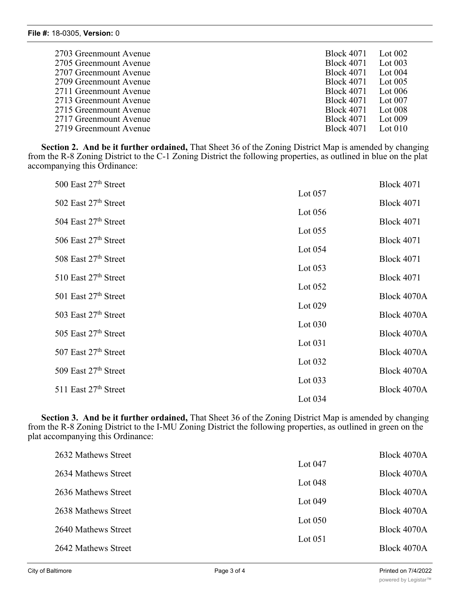| 2703 Greenmount Avenue | <b>Block 4071</b> | Lot $002$ |
|------------------------|-------------------|-----------|
| 2705 Greenmount Avenue | <b>Block 4071</b> | Lot $003$ |
| 2707 Greenmount Avenue | <b>Block 4071</b> | Lot $004$ |
| 2709 Greenmount Avenue | <b>Block 4071</b> | Lot $005$ |
| 2711 Greenmount Avenue | <b>Block 4071</b> | Lot $006$ |
| 2713 Greenmount Avenue | <b>Block 4071</b> | Lot $007$ |
| 2715 Greenmount Avenue | <b>Block 4071</b> | Lot $008$ |
| 2717 Greenmount Avenue | <b>Block 4071</b> | Lot $009$ |
| 2719 Greenmount Avenue | <b>Block 4071</b> | Lot 010   |

**Section 2. And be it further ordained,** That Sheet 36 of the Zoning District Map is amended by changing from the R-8 Zoning District to the C-1 Zoning District the following properties, as outlined in blue on the plat accompanying this Ordinance:

| 500 East 27th Street     |           | <b>Block 4071</b> |
|--------------------------|-----------|-------------------|
| 502 East 27th Street     | Lot 057   | <b>Block 4071</b> |
|                          | Lot $056$ |                   |
| 504 East 27th Street     | Lot $055$ | <b>Block 4071</b> |
| 506 East 27th Street     |           | <b>Block 4071</b> |
| 508 East 27th Street     | Lot 054   | <b>Block 4071</b> |
| $510$ East $27th$ Street | Lot $053$ | <b>Block 4071</b> |
|                          | Lot $052$ |                   |
| 501 East 27th Street     | Lot 029   | Block 4070A       |
| 503 East 27th Street     |           | Block 4070A       |
| 505 East 27th Street     | Lot $030$ | Block 4070A       |
| 507 East 27th Street     | Lot 031   | Block 4070A       |
|                          | Lot 032   |                   |
| 509 East 27th Street     | Lot $033$ | Block 4070A       |
| 511 East $27th$ Street   |           | Block 4070A       |
|                          | Lot $034$ |                   |

**Section 3. And be it further ordained,** That Sheet 36 of the Zoning District Map is amended by changing from the R-8 Zoning District to the I-MU Zoning District the following properties, as outlined in green on the plat accompanying this Ordinance:

| 2632 Mathews Street |           | Block 4070A |
|---------------------|-----------|-------------|
| 2634 Mathews Street | Lot $047$ | Block 4070A |
| 2636 Mathews Street | Lot $048$ | Block 4070A |
|                     | Lot $049$ |             |
| 2638 Mathews Street | Lot $050$ | Block 4070A |
| 2640 Mathews Street | Lot $051$ | Block 4070A |
| 2642 Mathews Street |           | Block 4070A |